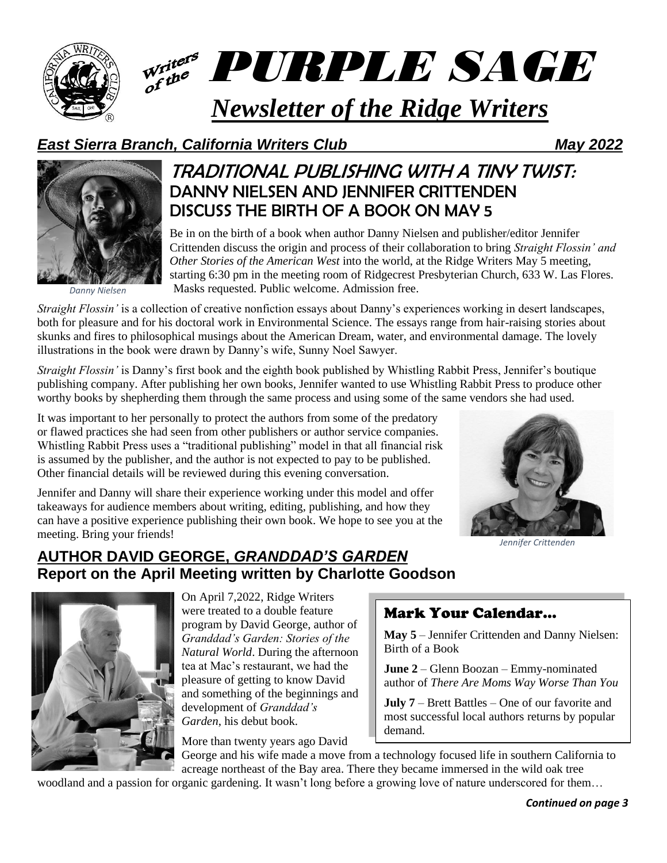

# *PURPLE SAGE*

# *Newsletter of the Ridge Writers*

# *East Sierra Branch, California Writers Club May 2022*

*Danny Nielsen*

# TRADITIONAL PUBLISHING WITH A TINY TWIST: DANNY NIELSEN AND JENNIFER CRITTENDEN DISCUSS THE BIRTH OF A BOOK ON MAY 5

Be in on the birth of a book when author Danny Nielsen and publisher/editor Jennifer Crittenden discuss the origin and process of their collaboration to bring *Straight Flossin' and Other Stories of the American West* into the world, at the Ridge Writers May 5 meeting, starting 6:30 pm in the meeting room of Ridgecrest Presbyterian Church, 633 W. Las Flores. Masks requested. Public welcome. Admission free.

*Straight Flossin'* is a collection of creative nonfiction essays about Danny's experiences working in desert landscapes, both for pleasure and for his doctoral work in Environmental Science. The essays range from hair-raising stories about skunks and fires to philosophical musings about the American Dream, water, and environmental damage. The lovely illustrations in the book were drawn by Danny's wife, Sunny Noel Sawyer.

*Straight Flossin'* is Danny's first book and the eighth book published by Whistling Rabbit Press, Jennifer's boutique publishing company. After publishing her own books, Jennifer wanted to use Whistling Rabbit Press to produce other worthy books by shepherding them through the same process and using some of the same vendors she had used.

It was important to her personally to protect the authors from some of the predatory or flawed practices she had seen from other publishers or author service companies. Whistling Rabbit Press uses a "traditional publishing" model in that all financial risk is assumed by the publisher, and the author is not expected to pay to be published. Other financial details will be reviewed during this evening conversation.

Jennifer and Danny will share their experience working under this model and offer takeaways for audience members about writing, editing, publishing, and how they can have a positive experience publishing their own book. We hope to see you at the meeting. Bring your friends!



*Jennifer Crittenden*

# **AUTHOR DAVID GEORGE,** *GRANDDAD'S GARDEN* **Report on the April Meeting written by Charlotte Goodson**



On April 7,2022, Ridge Writers were treated to a double feature program by David George, author of *Granddad's Garden: Stories of the Natural World*. During the afternoon tea at Mac's restaurant, we had the pleasure of getting to know David and something of the beginnings and development of *Granddad's Garden*, his debut book.

More than twenty years ago David

# Mark Your Calendar…

**May 5** – Jennifer Crittenden and Danny Nielsen: Birth of a Book

**June 2** – Glenn Boozan – Emmy-nominated author of *There Are Moms Way Worse Than You*

**July 7** – Brett Battles – One of our favorite and most successful local authors returns by popular demand.

George and his wife made a move from a technology focused life in southern California to acreage northeast of the Bay area. There they became immersed in the wild oak tree woodland and a passion for organic gardening. It wasn't long before a growing love of nature underscored for them...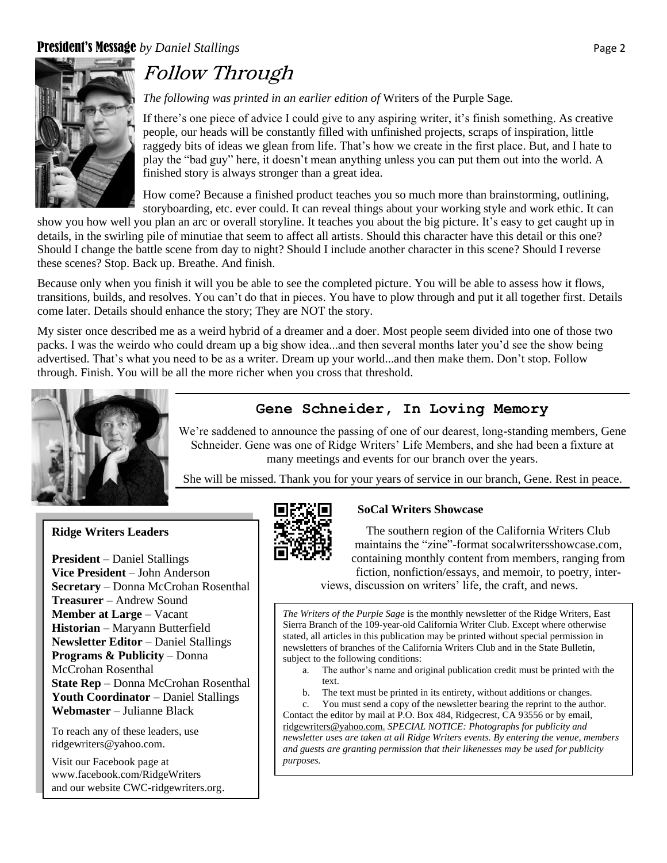## **President's Message** by Daniel Stallings **Page 2** Page 2



# Follow Through

*The following was printed in an earlier edition of* Writers of the Purple Sage*.*

If there's one piece of advice I could give to any aspiring writer, it's finish something. As creative people, our heads will be constantly filled with unfinished projects, scraps of inspiration, little raggedy bits of ideas we glean from life. That's how we create in the first place. But, and I hate to play the "bad guy" here, it doesn't mean anything unless you can put them out into the world. A finished story is always stronger than a great idea.

How come? Because a finished product teaches you so much more than brainstorming, outlining, storyboarding, etc. ever could. It can reveal things about your working style and work ethic. It can

show you how well you plan an arc or overall storyline. It teaches you about the big picture. It's easy to get caught up in details, in the swirling pile of minutiae that seem to affect all artists. Should this character have this detail or this one? Should I change the battle scene from day to night? Should I include another character in this scene? Should I reverse these scenes? Stop. Back up. Breathe. And finish.

Because only when you finish it will you be able to see the completed picture. You will be able to assess how it flows, transitions, builds, and resolves. You can't do that in pieces. You have to plow through and put it all together first. Details come later. Details should enhance the story; They are NOT the story.

My sister once described me as a weird hybrid of a dreamer and a doer. Most people seem divided into one of those two packs. I was the weirdo who could dream up a big show idea...and then several months later you'd see the show being advertised. That's what you need to be as a writer. Dream up your world...and then make them. Don't stop. Follow through. Finish. You will be all the more richer when you cross that threshold.



## **Gene Schneider, In Loving Memory**

We're saddened to announce the passing of one of our dearest, long-standing members, Gene Schneider. Gene was one of Ridge Writers' Life Members, and she had been a fixture at many meetings and events for our branch over the years.

She will be missed. Thank you for your years of service in our branch, Gene. Rest in peace.

## **Ridge Writers Leaders**

**President** – Daniel Stallings **Vice President** – John Anderson **Secretary** – Donna McCrohan Rosenthal **Treasurer** – Andrew Sound **Member at Large** – Vacant **Historian** – Maryann Butterfield **Newsletter Editor** – Daniel Stallings **Programs & Publicity** – Donna McCrohan Rosenthal **State Rep** – Donna McCrohan Rosenthal **Youth Coordinator** – Daniel Stallings **Webmaster** – Julianne Black

To reach any of these leaders, use [ridgewriters@yahoo.com.](mailto:ridgewriters@yahoo.com)

Visit our Facebook page at [www.facebook.com/RidgeWriters](http://www.facebook.com/RidgeWriters) and our website CWC-ridgewriters.org.



### **SoCal Writers Showcase**

The southern region of the California Writers Club maintains the "zine"-format socalwritersshowcase.com, containing monthly content from members, ranging from fiction, nonfiction/essays, and memoir, to poetry, inter-

views, discussion on writers' life, the craft, and news.

*The Writers of the Purple Sage* is the monthly newsletter of the Ridge Writers, East Sierra Branch of the 109-year-old California Writer Club. Except where otherwise stated, all articles in this publication may be printed without special permission in newsletters of branches of the California Writers Club and in the State Bulletin, subject to the following conditions:

- a. The author's name and original publication credit must be printed with the text.
- b. The text must be printed in its entirety, without additions or changes.

c. You must send a copy of the newsletter bearing the reprint to the author. Contact the editor by mail at P.O. Box 484, Ridgecrest, CA 93556 or by email, [ridgewriters@yahoo.com.](mailto:ridgewriters@yahoo.com) *SPECIAL NOTICE: Photographs for publicity and newsletter uses are taken at all Ridge Writers events. By entering the venue, members and guests are granting permission that their likenesses may be used for publicity purposes.*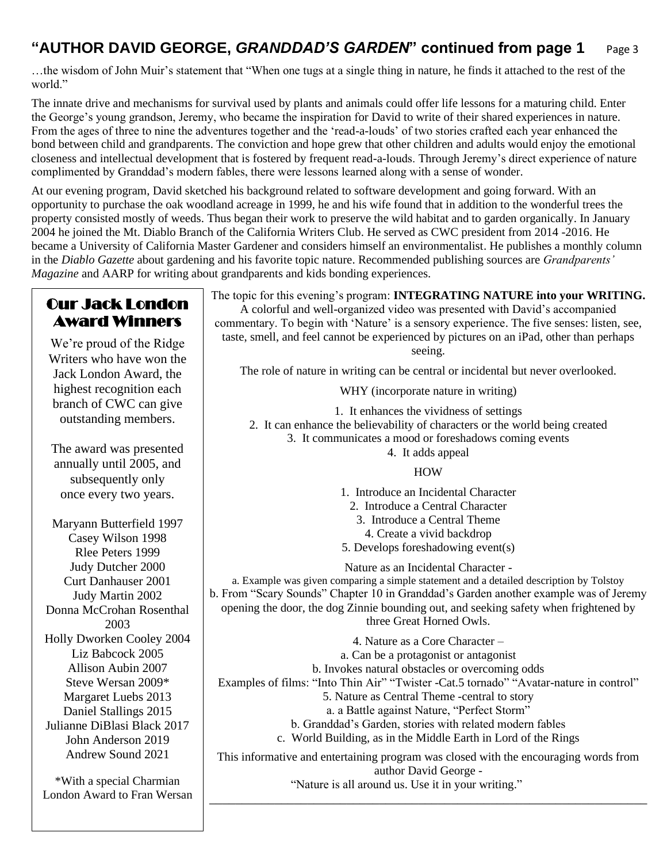# **"AUTHOR DAVID GEORGE,** *GRANDDAD'S GARDEN***" continued from page 1** Page 3

…the wisdom of John Muir's statement that "When one tugs at a single thing in nature, he finds it attached to the rest of the world."

The innate drive and mechanisms for survival used by plants and animals could offer life lessons for a maturing child. Enter the George's young grandson, Jeremy, who became the inspiration for David to write of their shared experiences in nature. From the ages of three to nine the adventures together and the 'read-a-louds' of two stories crafted each year enhanced the bond between child and grandparents. The conviction and hope grew that other children and adults would enjoy the emotional closeness and intellectual development that is fostered by frequent read-a-louds. Through Jeremy's direct experience of nature complimented by Granddad's modern fables, there were lessons learned along with a sense of wonder.

At our evening program, David sketched his background related to software development and going forward. With an opportunity to purchase the oak woodland acreage in 1999, he and his wife found that in addition to the wonderful trees the property consisted mostly of weeds. Thus began their work to preserve the wild habitat and to garden organically. In January 2004 he joined the Mt. Diablo Branch of the California Writers Club. He served as CWC president from 2014 -2016. He became a University of California Master Gardener and considers himself an environmentalist. He publishes a monthly column in the *Diablo Gazette* about gardening and his favorite topic nature. Recommended publishing sources are *Grandparents' Magazine* and AARP for writing about grandparents and kids bonding experiences.

#### Our Jack London Award Winners We're proud of the Ridge Writers who have won the Jack London Award, the highest recognition each branch of CWC can give outstanding members. The award was presented annually until 2005, and subsequently only once every two years. Maryann Butterfield 1997 Casey Wilson 1998 Rlee Peters 1999 Judy Dutcher 2000 Curt Danhauser 2001 Judy Martin 2002 Donna McCrohan Rosenthal 2003 Holly Dworken Cooley 2004 Liz Babcock 2005 Allison Aubin 2007 Steve Wersan 2009\* Margaret Luebs 2013 Daniel Stallings 2015 Julianne DiBlasi Black 2017 John Anderson 2019 Andrew Sound 2021 \*With a special Charmian London Award to Fran Wersan The topic for this evening's program: **INTEGRATING NATURE into your WRITING.** A colorful and well-organized video was presented with David's accompanied commentary. To begin with 'Nature' is a sensory experience. The five senses: listen, see, taste, smell, and feel cannot be experienced by pictures on an iPad, other than perhaps seeing. The role of nature in writing can be central or incidental but never overlooked. WHY (incorporate nature in writing) 1. It enhances the vividness of settings 2. It can enhance the believability of characters or the world being created 3. It communicates a mood or foreshadows coming events 4. It adds appeal HOW 1. Introduce an Incidental Character 2. Introduce a Central Character 3. Introduce a Central Theme 4. Create a vivid backdrop 5. Develops foreshadowing event(s) Nature as an Incidental Character a. Example was given comparing a simple statement and a detailed description by Tolstoy b. From "Scary Sounds" Chapter 10 in Granddad's Garden another example was of Jeremy opening the door, the dog Zinnie bounding out, and seeking safety when frightened by three Great Horned Owls. 4. Nature as a Core Character – a. Can be a protagonist or antagonist b. Invokes natural obstacles or overcoming odds Examples of films: "Into Thin Air" "Twister -Cat.5 tornado" "Avatar-nature in control" 5. Nature as Central Theme -central to story a. a Battle against Nature, "Perfect Storm" b. Granddad's Garden, stories with related modern fables c. World Building, as in the Middle Earth in Lord of the Rings This informative and entertaining program was closed with the encouraging words from author David George - "Nature is all around us. Use it in your writing." \_\_\_\_\_\_\_\_\_\_\_\_\_\_\_\_\_\_\_\_\_\_\_\_\_\_\_\_\_\_\_\_\_\_\_\_\_\_\_\_\_\_\_\_\_\_\_\_\_\_\_\_\_\_\_\_\_\_\_\_\_\_\_\_\_\_\_